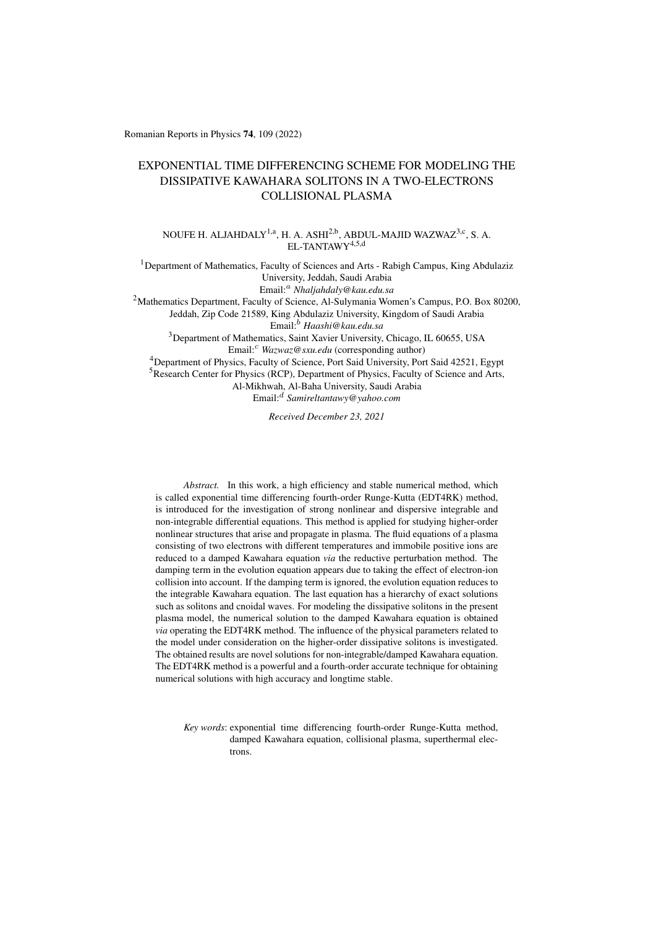Romanian Reports in Physics 74, 109 (2022)

# EXPONENTIAL TIME DIFFERENCING SCHEME FOR MODELING THE DISSIPATIVE KAWAHARA SOLITONS IN A TWO-ELECTRONS COLLISIONAL PLASMA

NOUFE H. ALJAHDALY<sup>1,a</sup>, H. A. ASHI<sup>2,b</sup>, ABDUL-MAJID WAZWAZ<sup>3,c</sup>, S. A. EL-TANTAWY<sup>4,5,d</sup>

<sup>1</sup>Department of Mathematics, Faculty of Sciences and Arts - Rabigh Campus, King Abdulaziz University, Jeddah, Saudi Arabia Email:<sup>a</sup> *Nhaljahdaly@kau.edu.sa* <sup>2</sup>Mathematics Department, Faculty of Science, Al-Sulymania Women's Campus, P.O. Box 80200, Jeddah, Zip Code 21589, King Abdulaziz University, Kingdom of Saudi Arabia Email:<sup>b</sup> *Haashi@kau.edu.sa* <sup>3</sup>Department of Mathematics, Saint Xavier University, Chicago, IL 60655, USA

Email:<sup>c</sup> *Wazwaz@sxu.edu* (corresponding author)

<sup>4</sup>Department of Physics, Faculty of Science, Port Said University, Port Said 42521, Egypt <sup>5</sup>Research Center for Physics (RCP), Department of Physics, Faculty of Science and Arts, Al-Mikhwah, Al-Baha University, Saudi Arabia Email:<sup>d</sup> *Samireltantawy@yahoo.com*

*Received December 23, 2021*

*Abstract.* In this work, a high efficiency and stable numerical method, which is called exponential time differencing fourth-order Runge-Kutta (EDT4RK) method, is introduced for the investigation of strong nonlinear and dispersive integrable and non-integrable differential equations. This method is applied for studying higher-order nonlinear structures that arise and propagate in plasma. The fluid equations of a plasma consisting of two electrons with different temperatures and immobile positive ions are reduced to a damped Kawahara equation *via* the reductive perturbation method. The damping term in the evolution equation appears due to taking the effect of electron-ion collision into account. If the damping term is ignored, the evolution equation reduces to the integrable Kawahara equation. The last equation has a hierarchy of exact solutions such as solitons and cnoidal waves. For modeling the dissipative solitons in the present plasma model, the numerical solution to the damped Kawahara equation is obtained *via* operating the EDT4RK method. The influence of the physical parameters related to the model under consideration on the higher-order dissipative solitons is investigated. The obtained results are novel solutions for non-integrable/damped Kawahara equation. The EDT4RK method is a powerful and a fourth-order accurate technique for obtaining numerical solutions with high accuracy and longtime stable.

*Key words*: exponential time differencing fourth-order Runge-Kutta method, damped Kawahara equation, collisional plasma, superthermal electrons.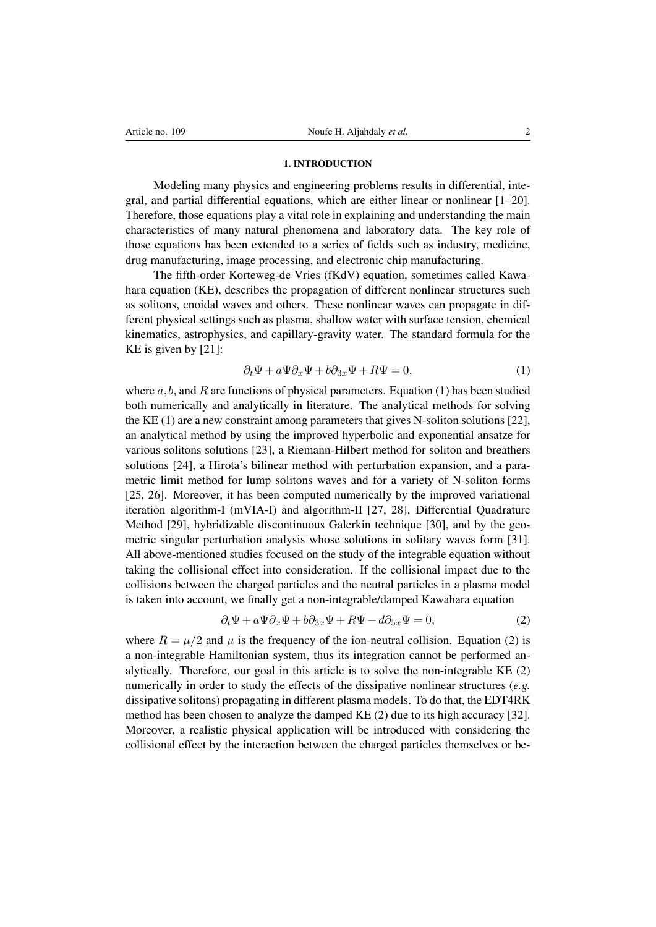## 1. INTRODUCTION

Modeling many physics and engineering problems results in differential, integral, and partial differential equations, which are either linear or nonlinear [\[1–](#page-7-0)[20\]](#page-8-0). Therefore, those equations play a vital role in explaining and understanding the main characteristics of many natural phenomena and laboratory data. The key role of those equations has been extended to a series of fields such as industry, medicine, drug manufacturing, image processing, and electronic chip manufacturing.

The fifth-order Korteweg-de Vries (fKdV) equation, sometimes called Kawahara equation (KE), describes the propagation of different nonlinear structures such as solitons, cnoidal waves and others. These nonlinear waves can propagate in different physical settings such as plasma, shallow water with surface tension, chemical kinematics, astrophysics, and capillary-gravity water. The standard formula for the KE is given by [\[21\]](#page-8-1):

<span id="page-1-0"></span>
$$
\partial_t \Psi + a \Psi \partial_x \Psi + b \partial_{3x} \Psi + R \Psi = 0, \tag{1}
$$

where  $a, b$ , and R are functions of physical parameters. Equation [\(1\)](#page-1-0) has been studied both numerically and analytically in literature. The analytical methods for solving the KE [\(1\)](#page-1-0) are a new constraint among parameters that gives N-soliton solutions [\[22\]](#page-8-2), an analytical method by using the improved hyperbolic and exponential ansatze for various solitons solutions [\[23\]](#page-8-3), a Riemann-Hilbert method for soliton and breathers solutions [\[24\]](#page-8-4), a Hirota's bilinear method with perturbation expansion, and a parametric limit method for lump solitons waves and for a variety of N-soliton forms [\[25,](#page-8-5) [26\]](#page-8-6). Moreover, it has been computed numerically by the improved variational iteration algorithm-I (mVIA-I) and algorithm-II [\[27,](#page-8-7) [28\]](#page-8-8), Differential Quadrature Method [\[29\]](#page-8-9), hybridizable discontinuous Galerkin technique [\[30\]](#page-8-10), and by the geometric singular perturbation analysis whose solutions in solitary waves form [\[31\]](#page-8-11). All above-mentioned studies focused on the study of the integrable equation without taking the collisional effect into consideration. If the collisional impact due to the collisions between the charged particles and the neutral particles in a plasma model is taken into account, we finally get a non-integrable/damped Kawahara equation

<span id="page-1-1"></span>
$$
\partial_t \Psi + a \Psi \partial_x \Psi + b \partial_{3x} \Psi + R \Psi - d \partial_{5x} \Psi = 0, \tag{2}
$$

where  $R = \mu/2$  and  $\mu$  is the frequency of the ion-neutral collision. Equation [\(2\)](#page-1-1) is a non-integrable Hamiltonian system, thus its integration cannot be performed analytically. Therefore, our goal in this article is to solve the non-integrable KE [\(2\)](#page-1-1) numerically in order to study the effects of the dissipative nonlinear structures (*e.g.* dissipative solitons) propagating in different plasma models. To do that, the EDT4RK method has been chosen to analyze the damped KE [\(2\)](#page-1-1) due to its high accuracy [\[32\]](#page-8-12). Moreover, a realistic physical application will be introduced with considering the collisional effect by the interaction between the charged particles themselves or be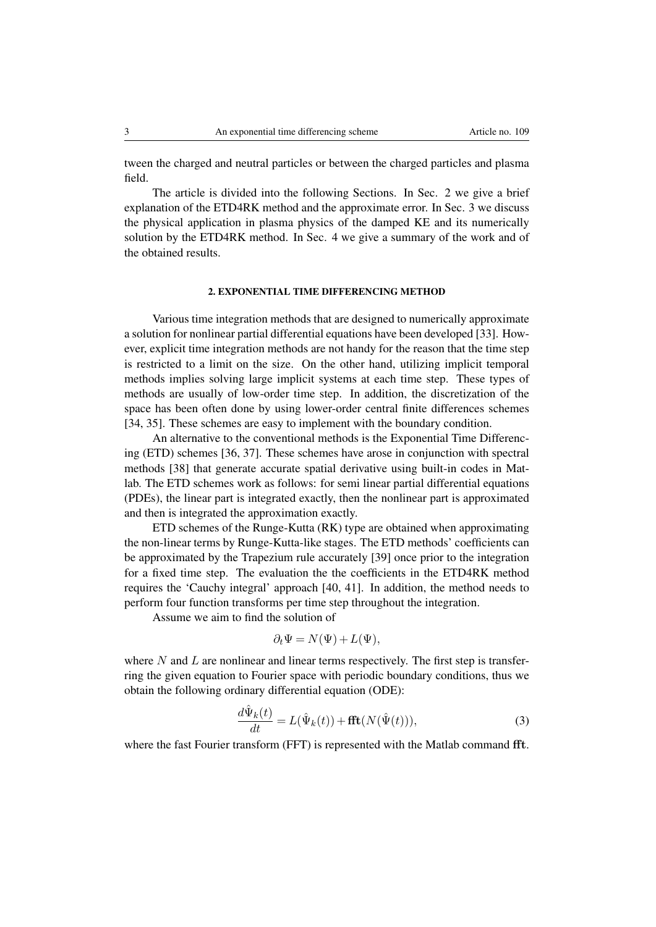tween the charged and neutral particles or between the charged particles and plasma field.

The article is divided into the following Sections. In Sec. 2 we give a brief explanation of the ETD4RK method and the approximate error. In Sec. 3 we discuss the physical application in plasma physics of the damped KE and its numerically solution by the ETD4RK method. In Sec. 4 we give a summary of the work and of the obtained results.

## 2. EXPONENTIAL TIME DIFFERENCING METHOD

Various time integration methods that are designed to numerically approximate a solution for nonlinear partial differential equations have been developed [\[33\]](#page-8-13). However, explicit time integration methods are not handy for the reason that the time step is restricted to a limit on the size. On the other hand, utilizing implicit temporal methods implies solving large implicit systems at each time step. These types of methods are usually of low-order time step. In addition, the discretization of the space has been often done by using lower-order central finite differences schemes [\[34,](#page-8-14) [35\]](#page-8-15). These schemes are easy to implement with the boundary condition.

An alternative to the conventional methods is the Exponential Time Differencing (ETD) schemes [\[36,](#page-8-16) [37\]](#page-8-17). These schemes have arose in conjunction with spectral methods [\[38\]](#page-8-18) that generate accurate spatial derivative using built-in codes in Matlab. The ETD schemes work as follows: for semi linear partial differential equations (PDEs), the linear part is integrated exactly, then the nonlinear part is approximated and then is integrated the approximation exactly.

ETD schemes of the Runge-Kutta (RK) type are obtained when approximating the non-linear terms by Runge-Kutta-like stages. The ETD methods' coefficients can be approximated by the Trapezium rule accurately [\[39\]](#page-8-19) once prior to the integration for a fixed time step. The evaluation the the coefficients in the ETD4RK method requires the 'Cauchy integral' approach [\[40,](#page-8-20) [41\]](#page-8-21). In addition, the method needs to perform four function transforms per time step throughout the integration.

Assume we aim to find the solution of

$$
\partial_t \Psi = N(\Psi) + L(\Psi),
$$

where  $N$  and  $L$  are nonlinear and linear terms respectively. The first step is transferring the given equation to Fourier space with periodic boundary conditions, thus we obtain the following ordinary differential equation (ODE):

$$
\frac{d\hat{\Psi}_k(t)}{dt} = L(\hat{\Psi}_k(t)) + \mathbf{fft}(N(\hat{\Psi}(t))),\tag{3}
$$

where the fast Fourier transform (FFT) is represented with the Matlab command fft.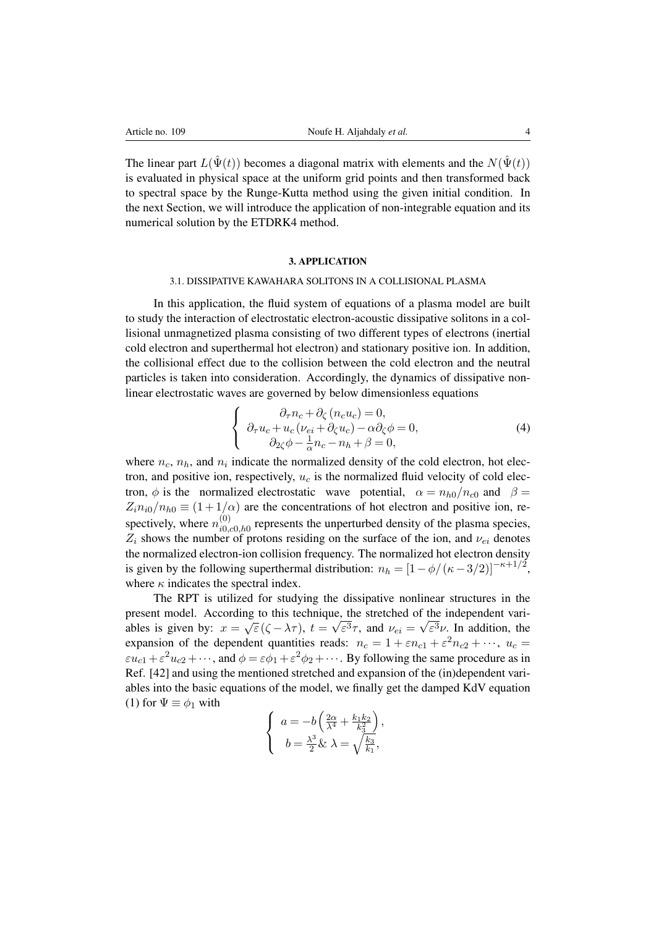The linear part  $L(\hat{\Psi}(t))$  becomes a diagonal matrix with elements and the  $N(\hat{\Psi}(t))$ is evaluated in physical space at the uniform grid points and then transformed back to spectral space by the Runge-Kutta method using the given initial condition. In the next Section, we will introduce the application of non-integrable equation and its numerical solution by the ETDRK4 method.

## 3. APPLICATION

# 3.1. DISSIPATIVE KAWAHARA SOLITONS IN A COLLISIONAL PLASMA

In this application, the fluid system of equations of a plasma model are built to study the interaction of electrostatic electron-acoustic dissipative solitons in a collisional unmagnetized plasma consisting of two different types of electrons (inertial cold electron and superthermal hot electron) and stationary positive ion. In addition, the collisional effect due to the collision between the cold electron and the neutral particles is taken into consideration. Accordingly, the dynamics of dissipative nonlinear electrostatic waves are governed by below dimensionless equations

$$
\begin{cases}\n\partial_{\tau} n_c + \partial_{\zeta} (n_c u_c) = 0, \\
\partial_{\tau} u_c + u_c (\nu_{ei} + \partial_{\zeta} u_c) - \alpha \partial_{\zeta} \phi = 0, \\
\partial_{2\zeta} \phi - \frac{1}{\alpha} n_c - n_h + \beta = 0,\n\end{cases}
$$
\n(4)

where  $n_c$ ,  $n_h$ , and  $n_i$  indicate the normalized density of the cold electron, hot electron, and positive ion, respectively,  $u_c$  is the normalized fluid velocity of cold electron,  $\phi$  is the normalized electrostatic wave potential,  $\alpha = n_{h0}/n_{c0}$  and  $\beta =$  $Z_i n_{i0}/n_{h0} \equiv (1 + 1/\alpha)$  are the concentrations of hot electron and positive ion, respectively, where  $n_{i0}^{(0)}$  $\epsilon_{i0,c0,h0}^{(0)}$  represents the unperturbed density of the plasma species,  $Z_i$  shows the number of protons residing on the surface of the ion, and  $\nu_{ei}$  denotes the normalized electron-ion collision frequency. The normalized hot electron density is given by the following superthermal distribution:  $n_h = \left[1 - \phi/(\kappa - 3/2)\right]^{-\kappa + 1/2}$ , where  $\kappa$  indicates the spectral index.

The RPT is utilized for studying the dissipative nonlinear structures in the present model. According to this technique, the stretched of the independent variables is given by:  $x = \sqrt{\varepsilon} (\zeta - \lambda \tau)$ ,  $t = \sqrt{\varepsilon^3} \tau$ , and  $\nu_{ei} = \sqrt{\varepsilon^3} \nu$ . In addition, the expansion of the dependent quantities reads:  $n_c = 1 + \varepsilon n_{c1} + \varepsilon^2 n_{c2} + \cdots$ ,  $u_c =$  $\epsilon u_{c1} + \epsilon^2 u_{c2} + \cdots$ , and  $\phi = \epsilon \phi_1 + \epsilon^2 \phi_2 + \cdots$ . By following the same procedure as in Ref. [\[42\]](#page-8-22) and using the mentioned stretched and expansion of the (in)dependent variables into the basic equations of the model, we finally get the damped KdV equation [\(1\)](#page-1-0) for  $\Psi \equiv \phi_1$  with

$$
\begin{cases}\n a = -b \left( \frac{2\alpha}{\lambda^4} + \frac{k_1 k_2}{k_3^2} \right), \\
 b = \frac{\lambda^3}{2} \& \lambda = \sqrt{\frac{k_3}{k_1}},\n\end{cases}
$$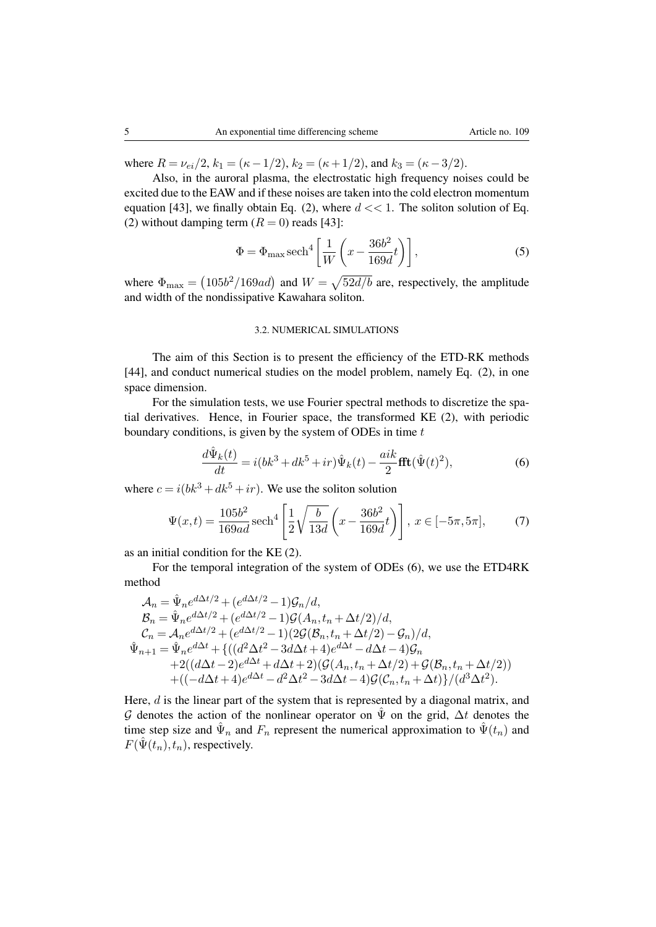where  $R = \nu_{ei}/2$ ,  $k_1 = (\kappa - 1/2)$ ,  $k_2 = (\kappa + 1/2)$ , and  $k_3 = (\kappa - 3/2)$ .

Also, in the auroral plasma, the electrostatic high frequency noises could be excited due to the EAW and if these noises are taken into the cold electron momentum equation [\[43\]](#page-8-23), we finally obtain Eq. [\(2\)](#page-1-1), where  $d \ll 1$ . The soliton solution of Eq. [\(2\)](#page-1-1) without damping term  $(R = 0)$  reads [\[43\]](#page-8-23):

$$
\Phi = \Phi_{\text{max}} \operatorname{sech}^4\left[\frac{1}{W}\left(x - \frac{36b^2}{169d}t\right)\right],\tag{5}
$$

where  $\Phi_{\text{max}} = (105b^2/169ad)$  and  $W = \sqrt{52d/b}$  are, respectively, the amplitude and width of the nondissipative Kawahara soliton.

## 3.2. NUMERICAL SIMULATIONS

The aim of this Section is to present the efficiency of the ETD-RK methods [\[44\]](#page-8-24), and conduct numerical studies on the model problem, namely Eq. [\(2\)](#page-1-1), in one space dimension.

For the simulation tests, we use Fourier spectral methods to discretize the spatial derivatives. Hence, in Fourier space, the transformed KE [\(2\)](#page-1-1), with periodic boundary conditions, is given by the system of ODEs in time  $t$ 

<span id="page-4-0"></span>
$$
\frac{d\hat{\Psi}_k(t)}{dt} = i(bk^3 + dk^5 + ir)\hat{\Psi}_k(t) - \frac{aik}{2}\text{fft}(\hat{\Psi}(t)^2),\tag{6}
$$

where  $c = i(bk^3 + dk^5 + ir)$ . We use the soliton solution

$$
\Psi(x,t) = \frac{105b^2}{169ad} \operatorname{sech}^4\left[\frac{1}{2}\sqrt{\frac{b}{13d}}\left(x - \frac{36b^2}{169d}t\right)\right], \ x \in [-5\pi, 5\pi],\tag{7}
$$

as an initial condition for the KE [\(2\)](#page-1-1).

For the temporal integration of the system of ODEs [\(6\)](#page-4-0), we use the ETD4RK method

$$
\begin{split} \mathcal{A}_n &= \hat{\Psi}_n e^{d\Delta t/2} + (e^{d\Delta t/2} - 1)\mathcal{G}_n/d, \\ \mathcal{B}_n &= \hat{\Psi}_n e^{d\Delta t/2} + (e^{d\Delta t/2} - 1)\mathcal{G}(A_n, t_n + \Delta t/2)/d, \\ \mathcal{C}_n &= \mathcal{A}_n e^{d\Delta t/2} + (e^{d\Delta t/2} - 1)(2\mathcal{G}(\mathcal{B}_n, t_n + \Delta t/2) - \mathcal{G}_n)/d, \\ \hat{\Psi}_{n+1} &= \hat{\Psi}_n e^{d\Delta t} + \{((d^2\Delta t^2 - 3d\Delta t + 4)e^{d\Delta t} - d\Delta t - 4)\mathcal{G}_n \\ &\quad + 2((d\Delta t - 2)e^{d\Delta t} + d\Delta t + 2)(\mathcal{G}(A_n, t_n + \Delta t/2) + \mathcal{G}(\mathcal{B}_n, t_n + \Delta t/2)) \\ &\quad + ((-d\Delta t + 4)e^{d\Delta t} - d^2\Delta t^2 - 3d\Delta t - 4)\mathcal{G}(C_n, t_n + \Delta t)\}/(d^3\Delta t^2). \end{split}
$$

Here,  $d$  is the linear part of the system that is represented by a diagonal matrix, and G denotes the action of the nonlinear operator on  $\Psi$  on the grid,  $\Delta t$  denotes the time step size and  $\hat{\Psi}_n$  and  $F_n$  represent the numerical approximation to  $\hat{\Psi}(t_n)$  and  $F(\hat{\Psi}(t_n), t_n)$ , respectively.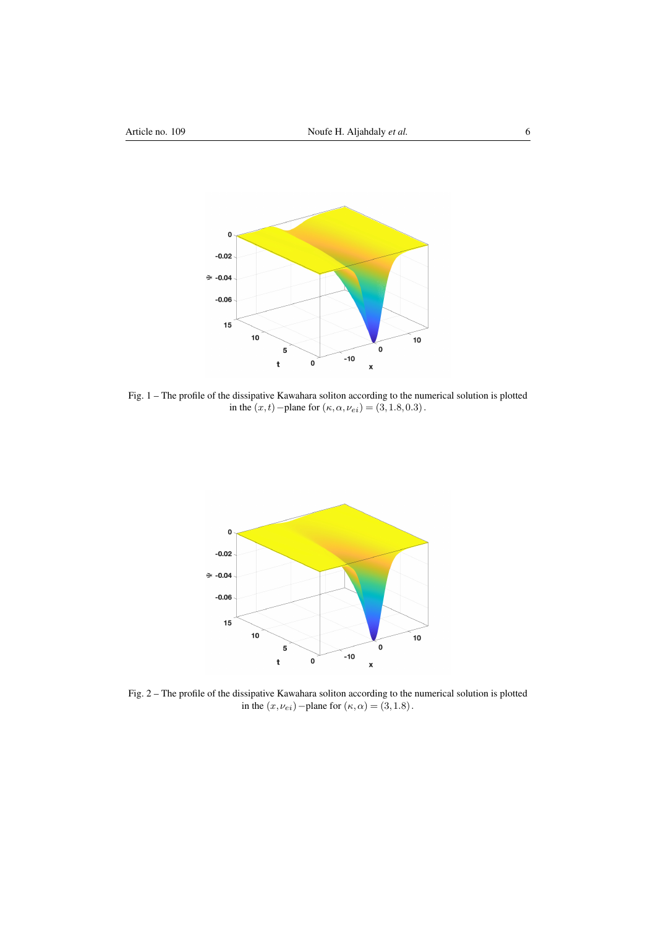

<span id="page-5-0"></span>Fig. 1 – The profile of the dissipative Kawahara soliton according to the numerical solution is plotted in the  $(x, t)$  – plane for  $(\kappa, \alpha, \nu_{ei}) = (3, 1.8, 0.3)$ .



<span id="page-5-1"></span>Fig. 2 – The profile of the dissipative Kawahara soliton according to the numerical solution is plotted in the  $(x, \nu_{ei})$  – plane for  $(\kappa, \alpha) = (3, 1.8)$ .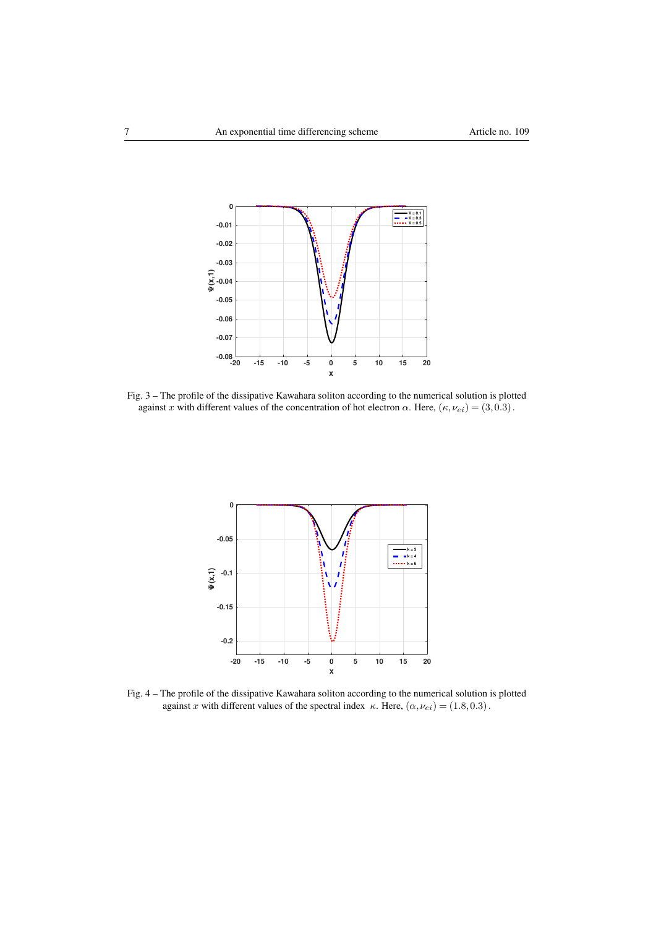

Fig. 3 – The profile of the dissipative Kawahara soliton according to the numerical solution is plotted against x with different values of the concentration of hot electron  $\alpha$ . Here,  $(\kappa, \nu_{ei}) = (3, 0.3)$ .



<span id="page-6-0"></span>Fig. 4 – The profile of the dissipative Kawahara soliton according to the numerical solution is plotted against x with different values of the spectral index  $\kappa$ . Here,  $(\alpha, \nu_{ei}) = (1.8, 0.3)$ .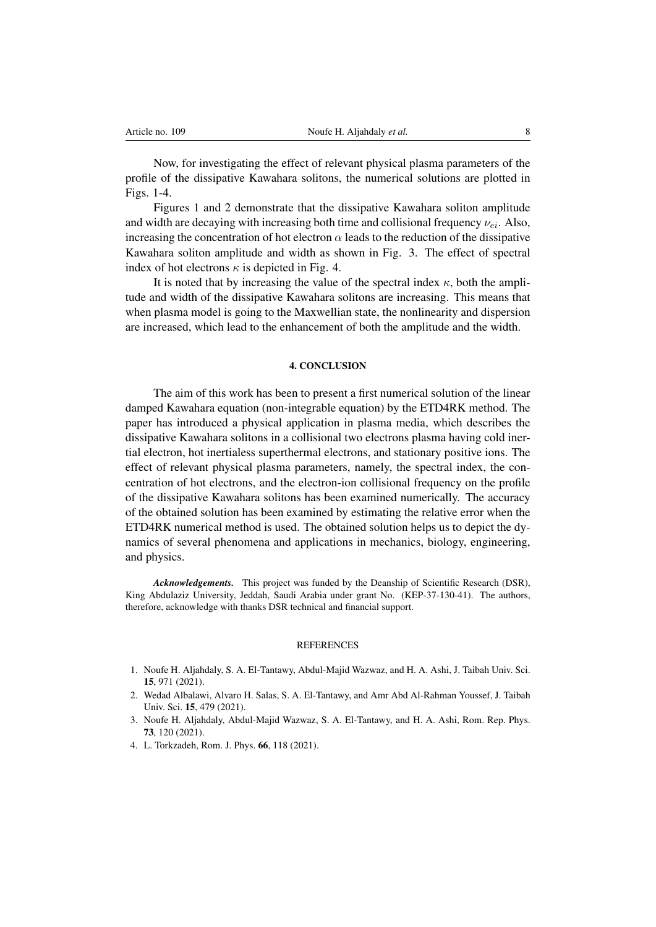Now, for investigating the effect of relevant physical plasma parameters of the profile of the dissipative Kawahara solitons, the numerical solutions are plotted in Figs. [1](#page-5-0)[-4.](#page-6-0)

Figures [1](#page-5-0) and [2](#page-5-1) demonstrate that the dissipative Kawahara soliton amplitude and width are decaying with increasing both time and collisional frequency  $\nu_{ei}$ . Also, increasing the concentration of hot electron  $\alpha$  leads to the reduction of the dissipative Kawahara soliton amplitude and width as shown in Fig. 3. The effect of spectral index of hot electrons  $\kappa$  is depicted in Fig. 4.

It is noted that by increasing the value of the spectral index  $\kappa$ , both the amplitude and width of the dissipative Kawahara solitons are increasing. This means that when plasma model is going to the Maxwellian state, the nonlinearity and dispersion are increased, which lead to the enhancement of both the amplitude and the width.

## 4. CONCLUSION

The aim of this work has been to present a first numerical solution of the linear damped Kawahara equation (non-integrable equation) by the ETD4RK method. The paper has introduced a physical application in plasma media, which describes the dissipative Kawahara solitons in a collisional two electrons plasma having cold inertial electron, hot inertialess superthermal electrons, and stationary positive ions. The effect of relevant physical plasma parameters, namely, the spectral index, the concentration of hot electrons, and the electron-ion collisional frequency on the profile of the dissipative Kawahara solitons has been examined numerically. The accuracy of the obtained solution has been examined by estimating the relative error when the ETD4RK numerical method is used. The obtained solution helps us to depict the dynamics of several phenomena and applications in mechanics, biology, engineering, and physics.

*Acknowledgements.* This project was funded by the Deanship of Scientific Research (DSR), King Abdulaziz University, Jeddah, Saudi Arabia under grant No. (KEP-37-130-41). The authors, therefore, acknowledge with thanks DSR technical and financial support.

## **REFERENCES**

- <span id="page-7-0"></span>1. Noufe H. Aljahdaly, S. A. El-Tantawy, Abdul-Majid Wazwaz, and H. A. Ashi, J. Taibah Univ. Sci. 15, 971 (2021).
- 2. Wedad Albalawi, Alvaro H. Salas, S. A. El-Tantawy, and Amr Abd Al-Rahman Youssef, J. Taibah Univ. Sci. 15, 479 (2021).
- 3. Noufe H. Aljahdaly, Abdul-Majid Wazwaz, S. A. El-Tantawy, and H. A. Ashi, Rom. Rep. Phys. 73, 120 (2021).
- 4. L. Torkzadeh, Rom. J. Phys. 66, 118 (2021).